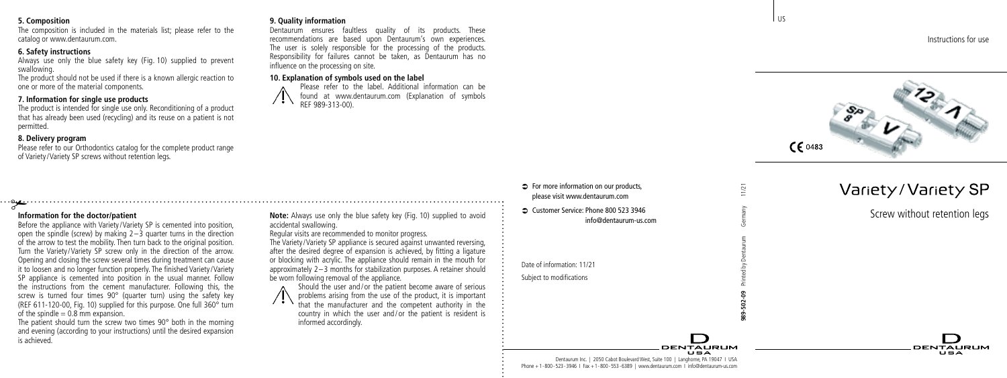### **5. Composition**

The composition is included in the materials list; please refer to the catalog or www.dentaurum.com.

## **6. Safety instructions**

Always use only the blue safety key (Fig. 10) supplied to prevent swallowing.

The product should not be used if there is a known allergic reaction to one or more of the material components.

# **7. Information for single use products**

# **Information for the doctor/patient**

of the spindle  $= 0.8$  mm expansion.

is achieved.

The product is intended for single use only. Reconditioning of a product that has already been used (recycling) and its reuse on a patient is not permitted.

# **8. Delivery program**

Please refer to our Orthodontics catalog for the complete product range of Variety/Variety SP screws without retention legs.

Before the appliance with Variety/Variety SP is cemented into position open the spindle (screw) by making  $2-\overline{3}$  quarter turns in the direction of the arrow to test the mobility. Then turn back to the original position. Turn the Variety/Variety SP screw only in the direction of the arrow. Opening and closing the screw several times during treatment can cause it to loosen and no longer function properly. The finished Variety/Variety SP appliance is cemented into position in the usual manner. Follow the instructions from the cement manufacturer. Following this, the screw is turned four times 90° (quarter turn) using the safety key (RFF 611-120-00, Fig. 10) supplied for this purpose. One full  $360^\circ$  turn

The patient should turn the screw two times 90° both in the morning and evening (according to your instructions) until the desired expansion

### **9. Quality information**

Dentaurum ensures faultless quality of its products. These recommendations are based upon Dentaurum's own experiences. The user is solely responsible for the processing of the products. Responsibility for failures cannot be taken, as Dentaurum has no influence on the processing on site.

## **10. Explanation of symbols used on the label**

 Please refer to the label. Additional information can be found at www.dentaurum.com (Explanation of symbols REF 989-313-00).



problems arising from the use of the product, it is important that the manufacturer and the competent authority in the country in which the user and / or the patient is resident is informed accordingly.

# $\Rightarrow$  For more information on our products. please visit www.dentaurum.com

Â Customer Service: Phone 800 523 3946 info@dentaurum-us.com

Date of information: 11/21

Subject to modifications

**DENTALIBUM** 

Instructions for use



l us

**989-502-09** Printed by Dentaurum Germany 11/21

 $\overline{121}$ 

Ξ

# Variety/Variety SP

Screw without retention legs

**DENTALIBLIM**  $\mathbf{H} = \mathbf{A}$ 

Dentaurum Inc. | 2050 Cabot Boulevard West, Suite 100 | Langhorne, PA 19047 I USA Phone +1-800-523-3946 I Fax +1-800-553-6389 | www.dentaurum.com I info@dentaurum-us.com